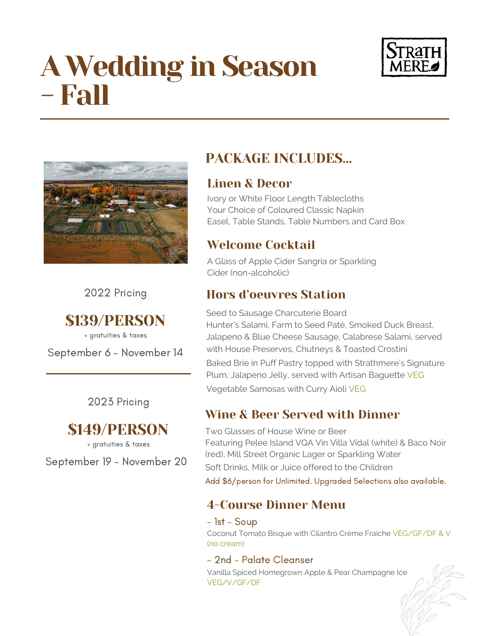# A Wedding in Season - Fall





2022 Pricing

# \$139/PERSON

+ gratuities & taxes

September 6 - November 14

2023 Pricing

# \$149/PERSON

+ gratuities & taxes

September 19 - November 20

# PACKAGE INCLUDES…

### Linen & Decor

Ivory or White Floor Length Tablecloths Your Choice of Coloured Classic Napkin Easel, Table Stands, Table Numbers and Card Box

# Welcome Cocktail

A Glass of Apple Cider Sangria or Sparkling Cider (non-alcoholic)

## Hors d'oeuvres Station

Seed to Sausage Charcuterie Board Hunter's Salami, Farm to Seed Paté, Smoked Duck Breast, Jalapeno & Blue Cheese Sausage, Calabrese Salami, served with House Preserves, Chutneys & Toasted Crostini Baked Brie in Puff Pastry topped with Strathmere's Signature Plum, Jalapeno Jelly, served with Artisan Baguette VEG Vegetable Samosas with Curry Aioli VEG

# Wine & Beer Served with Dinner

Two Glasses of House Wine or Beer Featuring Pelee Island VQA Vin Villa Vidal (white) & Baco Noir (red), Mill Street Organic Lager or Sparkling Water Soft Drinks, Milk or Juice offered to the Children Add \$6/person for Unlimited. Upgraded Selections also available.

# 4-Course Dinner Menu

- 1st - Soup

Coconut Tomato Bisque with Cilantro Crème Fraiche VEG/GF/DF & V (no cream)

### - 2nd - Palate Cleanser

Vanilla Spiced Homegrown Apple & Pear Champagne Ice VEG/V/GF/DF